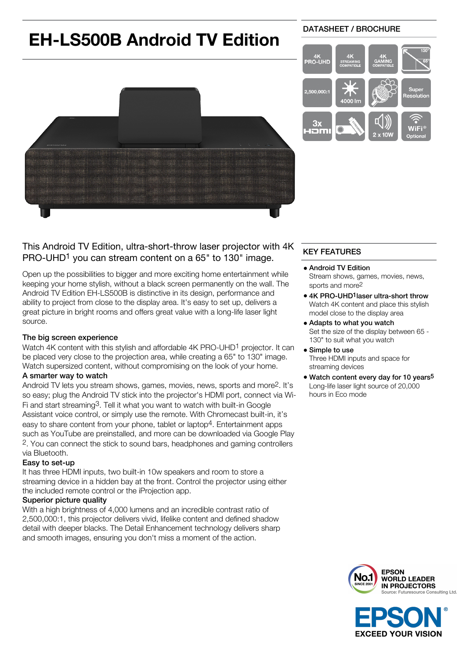# **EH-LS500B Android TV Edition**

# DATASHEET / BROCHURE



# This Android TV Edition, ultra-short-throw laser projector with 4K PRO-UHD<sup>1</sup> you can stream content on a 65" to 130" image.

Open up the possibilities to bigger and more exciting home entertainment while keeping your home stylish, without a black screen permanently on the wall. The Android TV Edition EH-LS500B is distinctive in its design, performance and ability to project from close to the display area. It's easy to set up, delivers a great picture in bright rooms and offers great value with a long-life laser light source.

## The big screen experience

Watch 4K content with this stylish and affordable 4K PRO-UHD<sup>1</sup> projector. It can be placed very close to the projection area, while creating a 65" to 130" image. Watch supersized content, without compromising on the look of your home.

### A smarter way to watch

Android TV lets you stream shows, games, movies, news, sports and more2. It's so easy; plug the Android TV stick into the projector's HDMI port, connect via Wi-Fi and start streaming3. Tell it what you want to watch with built-in Google Assistant voice control, or simply use the remote. With Chromecast built-in, it's easy to share content from your phone, tablet or laptop4. Entertainment apps such as YouTube are preinstalled, and more can be downloaded via Google Play 2. You can connect the stick to sound bars, headphones and gaming controllers via Bluetooth.

### Easy to set-up

It has three HDMI inputs, two built-in 10w speakers and room to store a streaming device in a hidden bay at the front. Control the projector using either the included remote control or the iProjection app.

### Superior picture quality

With a high brightness of 4,000 lumens and an incredible contrast ratio of 2,500,000:1, this projector delivers vivid, lifelike content and defined shadow detail with deeper blacks. The Detail Enhancement technology delivers sharp and smooth images, ensuring you don't miss a moment of the action.

# KEY FEATURES

- Android TV Edition Stream shows, games, movies, news, sports and more2
- 4K PRO-UHD<sup>1</sup> laser ultra-short throw Watch 4K content and place this stylish model close to the display area
- Adapts to what you watch Set the size of the display between 65 - 130" to suit what you watch
- Simple to use Three HDMI inputs and space for streaming devices
- Watch content every day for 10 years<sup>5</sup> Long-life laser light source of 20,000 hours in Eco mode



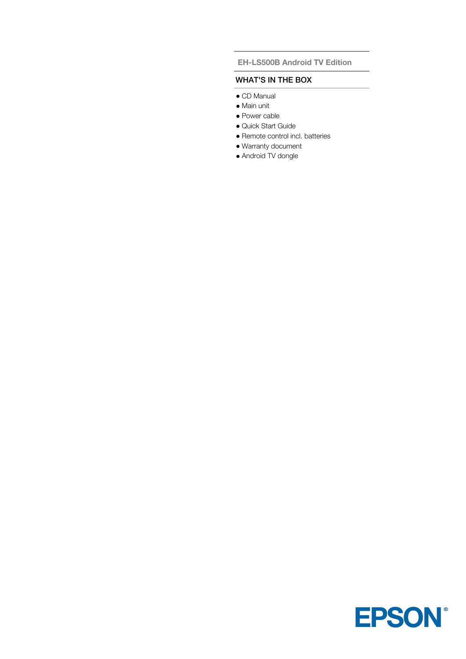### **EH-LS500B Android TV Edition**

### WHAT'S IN THE BOX

- CD Manual
- Main unit
- Power cable
- Quick Start Guide
- Remote control incl. batteries
- Warranty document
- Android TV dongle